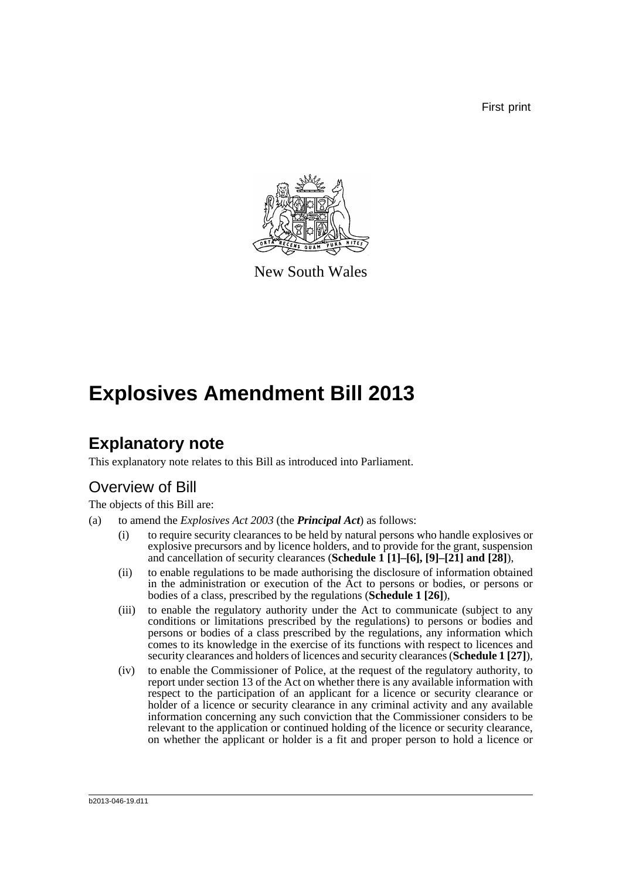First print



New South Wales

# **Explosives Amendment Bill 2013**

## **Explanatory note**

This explanatory note relates to this Bill as introduced into Parliament.

## Overview of Bill

The objects of this Bill are:

- (a) to amend the *Explosives Act 2003* (the *Principal Act*) as follows:
	- (i) to require security clearances to be held by natural persons who handle explosives or explosive precursors and by licence holders, and to provide for the grant, suspension and cancellation of security clearances (**Schedule 1 [1]–[6], [9]–[21] and [28]**),
	- (ii) to enable regulations to be made authorising the disclosure of information obtained in the administration or execution of the Act to persons or bodies, or persons or bodies of a class, prescribed by the regulations (**Schedule 1 [26]**),
	- (iii) to enable the regulatory authority under the Act to communicate (subject to any conditions or limitations prescribed by the regulations) to persons or bodies and persons or bodies of a class prescribed by the regulations, any information which comes to its knowledge in the exercise of its functions with respect to licences and security clearances and holders of licences and security clearances (**Schedule 1 [27]**),
	- (iv) to enable the Commissioner of Police, at the request of the regulatory authority, to report under section 13 of the Act on whether there is any available information with respect to the participation of an applicant for a licence or security clearance or holder of a licence or security clearance in any criminal activity and any available information concerning any such conviction that the Commissioner considers to be relevant to the application or continued holding of the licence or security clearance, on whether the applicant or holder is a fit and proper person to hold a licence or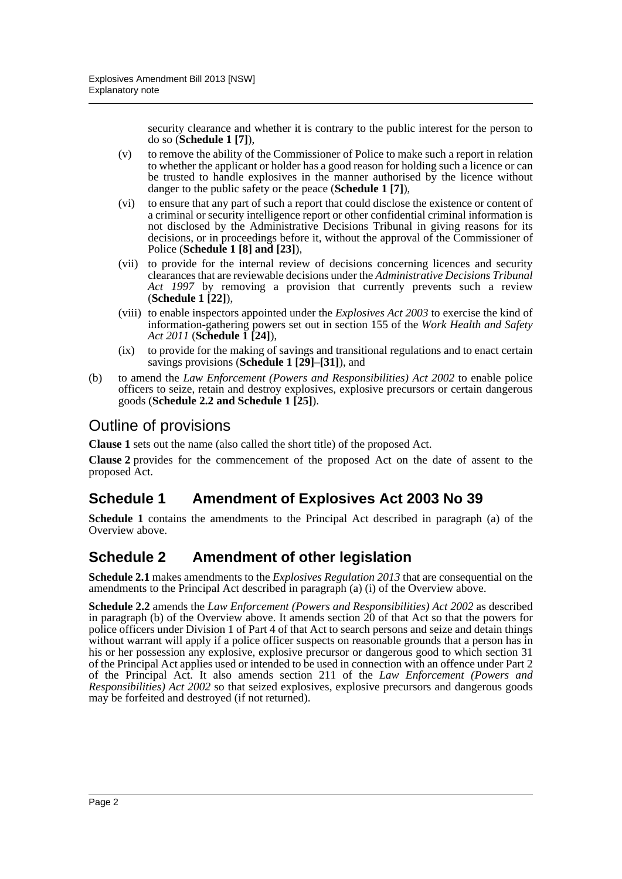security clearance and whether it is contrary to the public interest for the person to do so (**Schedule 1 [7]**),

- (v) to remove the ability of the Commissioner of Police to make such a report in relation to whether the applicant or holder has a good reason for holding such a licence or can be trusted to handle explosives in the manner authorised by the licence without danger to the public safety or the peace (**Schedule 1 [7]**),
- (vi) to ensure that any part of such a report that could disclose the existence or content of a criminal or security intelligence report or other confidential criminal information is not disclosed by the Administrative Decisions Tribunal in giving reasons for its decisions, or in proceedings before it, without the approval of the Commissioner of Police (**Schedule 1 [8] and [23]**),
- (vii) to provide for the internal review of decisions concerning licences and security clearances that are reviewable decisions under the *Administrative Decisions Tribunal Act 1997* by removing a provision that currently prevents such a review (**Schedule 1 [22]**),
- (viii) to enable inspectors appointed under the *Explosives Act 2003* to exercise the kind of information-gathering powers set out in section 155 of the *Work Health and Safety Act 2011* (**Schedule 1 [24]**),
- (ix) to provide for the making of savings and transitional regulations and to enact certain savings provisions (**Schedule 1 [29]–[31]**), and
- (b) to amend the *Law Enforcement (Powers and Responsibilities) Act 2002* to enable police officers to seize, retain and destroy explosives, explosive precursors or certain dangerous goods (**Schedule 2.2 and Schedule 1 [25]**).

## Outline of provisions

**Clause 1** sets out the name (also called the short title) of the proposed Act.

**Clause 2** provides for the commencement of the proposed Act on the date of assent to the proposed Act.

## **Schedule 1 Amendment of Explosives Act 2003 No 39**

**Schedule 1** contains the amendments to the Principal Act described in paragraph (a) of the Overview above.

## **Schedule 2 Amendment of other legislation**

**Schedule 2.1** makes amendments to the *Explosives Regulation 2013* that are consequential on the amendments to the Principal Act described in paragraph (a) (i) of the Overview above.

**Schedule 2.2** amends the *Law Enforcement (Powers and Responsibilities) Act 2002* as described in paragraph (b) of the Overview above. It amends section 20 of that Act so that the powers for police officers under Division 1 of Part 4 of that Act to search persons and seize and detain things without warrant will apply if a police officer suspects on reasonable grounds that a person has in his or her possession any explosive, explosive precursor or dangerous good to which section 31 of the Principal Act applies used or intended to be used in connection with an offence under Part 2 of the Principal Act. It also amends section 211 of the *Law Enforcement (Powers and Responsibilities) Act 2002* so that seized explosives, explosive precursors and dangerous goods may be forfeited and destroyed (if not returned).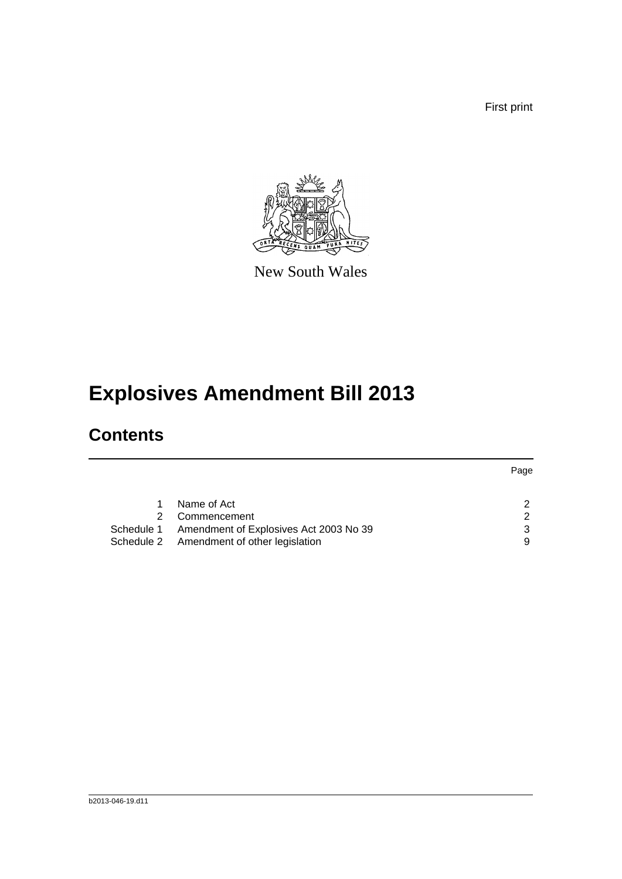First print



New South Wales

# **Explosives Amendment Bill 2013**

## **Contents**

|                                                   | Page |
|---------------------------------------------------|------|
|                                                   |      |
| Name of Act                                       | 2    |
| Commencement                                      | າ    |
| Schedule 1 Amendment of Explosives Act 2003 No 39 | 3    |
| Schedule 2 Amendment of other legislation         | 9    |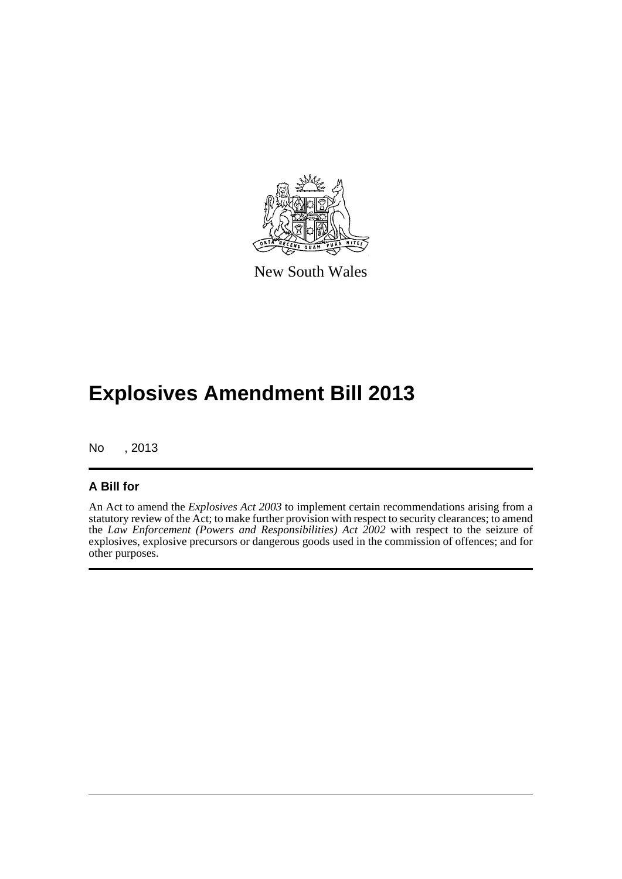

New South Wales

## **Explosives Amendment Bill 2013**

No , 2013

#### **A Bill for**

An Act to amend the *Explosives Act 2003* to implement certain recommendations arising from a statutory review of the Act; to make further provision with respect to security clearances; to amend the *Law Enforcement (Powers and Responsibilities) Act 2002* with respect to the seizure of explosives, explosive precursors or dangerous goods used in the commission of offences; and for other purposes.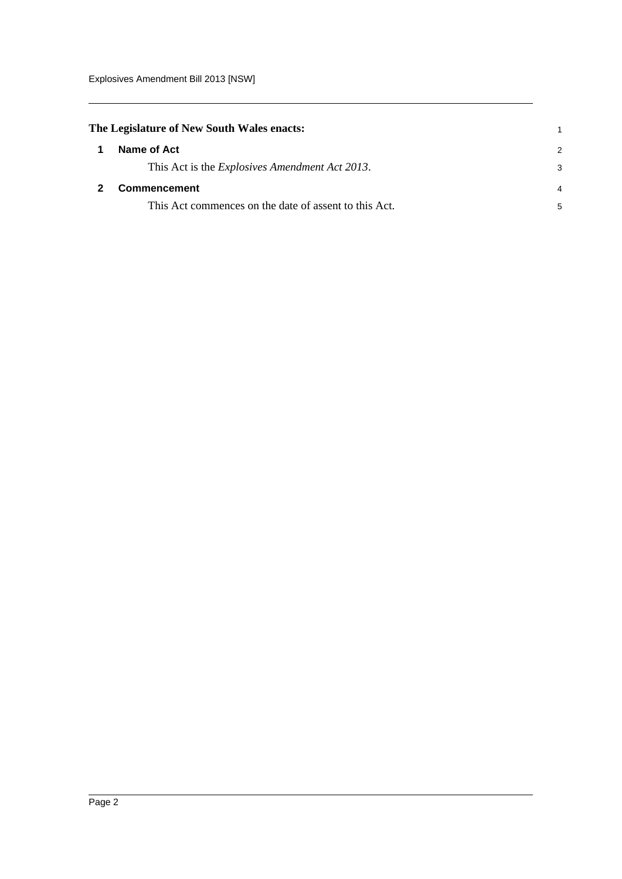<span id="page-4-1"></span><span id="page-4-0"></span>

| The Legislature of New South Wales enacts:             |   |
|--------------------------------------------------------|---|
| Name of Act                                            | 2 |
| This Act is the <i>Explosives Amendment Act 2013</i> . | 3 |
| <b>Commencement</b>                                    | 4 |
| This Act commences on the date of assent to this Act.  | 5 |
|                                                        |   |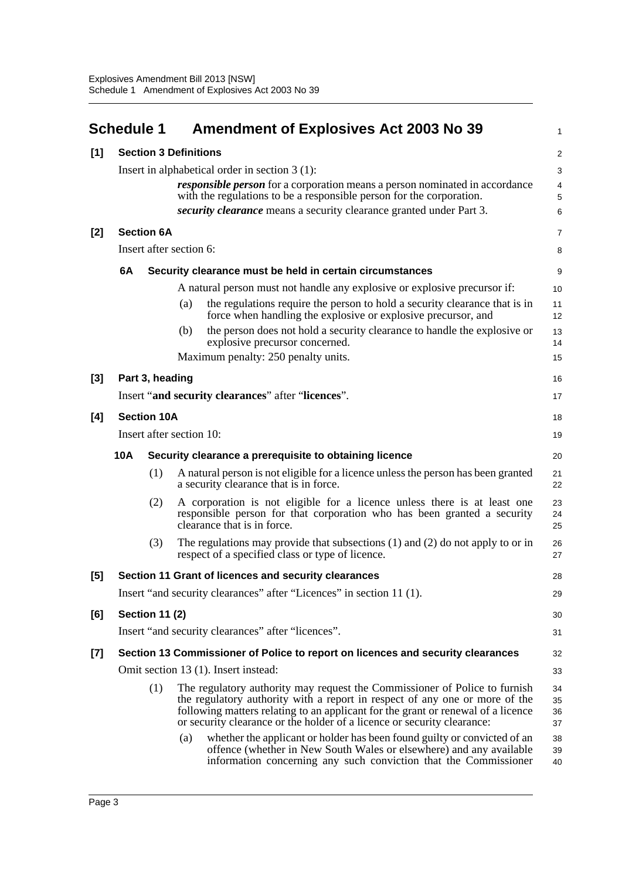<span id="page-5-0"></span>

|       | <b>Schedule 1</b>                                             |                       | <b>Amendment of Explosives Act 2003 No 39</b>                                                                                                                                                                                                                                                                            | 1                    |  |  |  |
|-------|---------------------------------------------------------------|-----------------------|--------------------------------------------------------------------------------------------------------------------------------------------------------------------------------------------------------------------------------------------------------------------------------------------------------------------------|----------------------|--|--|--|
| [1]   |                                                               |                       | <b>Section 3 Definitions</b>                                                                                                                                                                                                                                                                                             | $\overline{c}$       |  |  |  |
|       |                                                               |                       | Insert in alphabetical order in section $3(1)$ :                                                                                                                                                                                                                                                                         | 3                    |  |  |  |
|       |                                                               |                       | <i>responsible person</i> for a corporation means a person nominated in accordance                                                                                                                                                                                                                                       | 4                    |  |  |  |
|       |                                                               |                       | with the regulations to be a responsible person for the corporation.<br>security clearance means a security clearance granted under Part 3.                                                                                                                                                                              | 5                    |  |  |  |
|       |                                                               |                       |                                                                                                                                                                                                                                                                                                                          | 6                    |  |  |  |
| $[2]$ |                                                               | <b>Section 6A</b>     |                                                                                                                                                                                                                                                                                                                          | $\overline{7}$       |  |  |  |
|       |                                                               |                       | Insert after section 6:                                                                                                                                                                                                                                                                                                  | 8                    |  |  |  |
|       | 6A                                                            |                       | Security clearance must be held in certain circumstances                                                                                                                                                                                                                                                                 | 9                    |  |  |  |
|       |                                                               |                       | A natural person must not handle any explosive or explosive precursor if:                                                                                                                                                                                                                                                | 10                   |  |  |  |
|       |                                                               |                       | the regulations require the person to hold a security clearance that is in<br>(a)<br>force when handling the explosive or explosive precursor, and                                                                                                                                                                       | 11<br>12             |  |  |  |
|       |                                                               |                       | the person does not hold a security clearance to handle the explosive or<br>(b)<br>explosive precursor concerned.                                                                                                                                                                                                        | 13<br>14             |  |  |  |
|       |                                                               |                       | Maximum penalty: 250 penalty units.                                                                                                                                                                                                                                                                                      | 15                   |  |  |  |
| $[3]$ |                                                               | Part 3, heading       |                                                                                                                                                                                                                                                                                                                          | 16                   |  |  |  |
|       |                                                               |                       | Insert "and security clearances" after "licences".                                                                                                                                                                                                                                                                       | 17                   |  |  |  |
| [4]   |                                                               | <b>Section 10A</b>    |                                                                                                                                                                                                                                                                                                                          | 18                   |  |  |  |
|       | Insert after section 10:                                      |                       |                                                                                                                                                                                                                                                                                                                          |                      |  |  |  |
|       | 10A<br>Security clearance a prerequisite to obtaining licence |                       |                                                                                                                                                                                                                                                                                                                          |                      |  |  |  |
|       |                                                               | (1)                   | A natural person is not eligible for a licence unless the person has been granted<br>a security clearance that is in force.                                                                                                                                                                                              | 21<br>22             |  |  |  |
|       |                                                               | (2)                   | A corporation is not eligible for a licence unless there is at least one<br>responsible person for that corporation who has been granted a security<br>clearance that is in force.                                                                                                                                       | 23<br>24<br>25       |  |  |  |
|       |                                                               | (3)                   | The regulations may provide that subsections $(1)$ and $(2)$ do not apply to or in<br>respect of a specified class or type of licence.                                                                                                                                                                                   | 26<br>27             |  |  |  |
| $[5]$ |                                                               |                       | Section 11 Grant of licences and security clearances                                                                                                                                                                                                                                                                     | 28                   |  |  |  |
|       |                                                               |                       | Insert "and security clearances" after "Licences" in section 11 (1).                                                                                                                                                                                                                                                     | 29                   |  |  |  |
| [6]   |                                                               | <b>Section 11 (2)</b> |                                                                                                                                                                                                                                                                                                                          | 30                   |  |  |  |
|       |                                                               |                       | Insert "and security clearances" after "licences".                                                                                                                                                                                                                                                                       | 31                   |  |  |  |
| $[7]$ |                                                               |                       | Section 13 Commissioner of Police to report on licences and security clearances                                                                                                                                                                                                                                          | 32                   |  |  |  |
|       |                                                               |                       | Omit section 13 (1). Insert instead:                                                                                                                                                                                                                                                                                     | 33                   |  |  |  |
|       |                                                               | (1)                   | The regulatory authority may request the Commissioner of Police to furnish<br>the regulatory authority with a report in respect of any one or more of the<br>following matters relating to an applicant for the grant or renewal of a licence<br>or security clearance or the holder of a licence or security clearance: | 34<br>35<br>36<br>37 |  |  |  |
|       |                                                               |                       | whether the applicant or holder has been found guilty or convicted of an<br>(a)<br>offence (whether in New South Wales or elsewhere) and any available<br>information concerning any such conviction that the Commissioner                                                                                               | 38<br>39<br>40       |  |  |  |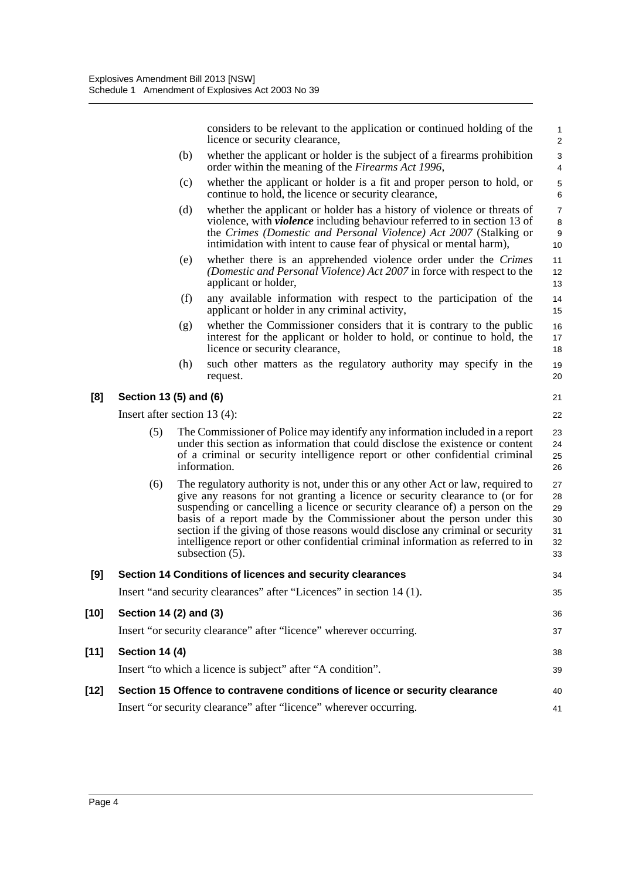considers to be relevant to the application or continued holding of the licence or security clearance,

- (b) whether the applicant or holder is the subject of a firearms prohibition order within the meaning of the *Firearms Act 1996*,
- (c) whether the applicant or holder is a fit and proper person to hold, or continue to hold, the licence or security clearance,
- (d) whether the applicant or holder has a history of violence or threats of violence, with *violence* including behaviour referred to in section 13 of the *Crimes (Domestic and Personal Violence) Act 2007* (Stalking or intimidation with intent to cause fear of physical or mental harm),
- (e) whether there is an apprehended violence order under the *Crimes (Domestic and Personal Violence) Act 2007* in force with respect to the applicant or holder,
- (f) any available information with respect to the participation of the applicant or holder in any criminal activity,
- (g) whether the Commissioner considers that it is contrary to the public interest for the applicant or holder to hold, or continue to hold, the licence or security clearance,
- (h) such other matters as the regulatory authority may specify in the request.

#### **[8] Section 13 (5) and (6)**

Insert after section 13 (4):

- The Commissioner of Police may identify any information included in a report under this section as information that could disclose the existence or content of a criminal or security intelligence report or other confidential criminal information.
- (6) The regulatory authority is not, under this or any other Act or law, required to give any reasons for not granting a licence or security clearance to (or for suspending or cancelling a licence or security clearance of) a person on the basis of a report made by the Commissioner about the person under this section if the giving of those reasons would disclose any criminal or security intelligence report or other confidential criminal information as referred to in subsection (5). 27 28 29 30 31 32 33

| [9]    | Section 14 Conditions of licences and security clearances                    | 34 |
|--------|------------------------------------------------------------------------------|----|
|        | Insert "and security clearances" after "Licences" in section 14 (1).         | 35 |
| $[10]$ | Section 14 (2) and (3)                                                       | 36 |
|        | Insert "or security clearance" after "licence" wherever occurring.           | 37 |
| $[11]$ | Section 14 (4)                                                               | 38 |
|        | Insert "to which a licence is subject" after "A condition".                  | 39 |
| $[12]$ | Section 15 Offence to contravene conditions of licence or security clearance | 40 |
|        | Insert "or security clearance" after "licence" wherever occurring.           | 41 |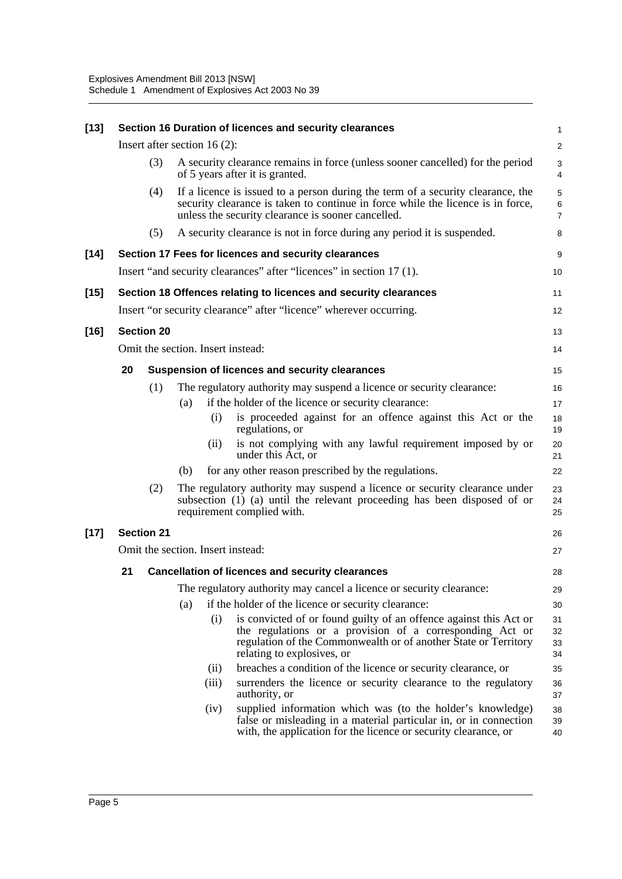| $[13]$ |    |                   |     |                                | Section 16 Duration of licences and security clearances                                                                                                                                                                        | 1                        |
|--------|----|-------------------|-----|--------------------------------|--------------------------------------------------------------------------------------------------------------------------------------------------------------------------------------------------------------------------------|--------------------------|
|        |    |                   |     | Insert after section $16(2)$ : |                                                                                                                                                                                                                                | $\overline{\mathbf{c}}$  |
|        |    | (3)               |     |                                | A security clearance remains in force (unless sooner cancelled) for the period<br>of 5 years after it is granted.                                                                                                              | 3<br>4                   |
|        |    | (4)               |     |                                | If a licence is issued to a person during the term of a security clearance, the<br>security clearance is taken to continue in force while the licence is in force,<br>unless the security clearance is sooner cancelled.       | 5<br>6<br>$\overline{7}$ |
|        |    | (5)               |     |                                | A security clearance is not in force during any period it is suspended.                                                                                                                                                        | 8                        |
| $[14]$ |    |                   |     |                                | Section 17 Fees for licences and security clearances                                                                                                                                                                           | 9                        |
|        |    |                   |     |                                | Insert "and security clearances" after "licences" in section 17 (1).                                                                                                                                                           | 10                       |
| $[15]$ |    |                   |     |                                | Section 18 Offences relating to licences and security clearances                                                                                                                                                               | 11                       |
|        |    |                   |     |                                | Insert "or security clearance" after "licence" wherever occurring.                                                                                                                                                             | 12                       |
| $[16]$ |    | <b>Section 20</b> |     |                                |                                                                                                                                                                                                                                | 13                       |
|        |    |                   |     |                                | Omit the section. Insert instead:                                                                                                                                                                                              | 14                       |
|        | 20 |                   |     |                                | Suspension of licences and security clearances                                                                                                                                                                                 | 15                       |
|        |    | (1)               |     |                                | The regulatory authority may suspend a licence or security clearance:                                                                                                                                                          | 16                       |
|        |    |                   | (a) |                                | if the holder of the licence or security clearance:                                                                                                                                                                            | 17                       |
|        |    |                   |     | (i)                            | is proceeded against for an offence against this Act or the<br>regulations, or                                                                                                                                                 | 18<br>19                 |
|        |    |                   |     | (ii)                           | is not complying with any lawful requirement imposed by or<br>under this Act, or                                                                                                                                               | 20<br>21                 |
|        |    |                   | (b) |                                | for any other reason prescribed by the regulations.                                                                                                                                                                            | 22                       |
|        |    | (2)               |     |                                | The regulatory authority may suspend a licence or security clearance under<br>subsection (1) (a) until the relevant proceeding has been disposed of or<br>requirement complied with.                                           | 23<br>24<br>25           |
| $[17]$ |    | <b>Section 21</b> |     |                                |                                                                                                                                                                                                                                | 26                       |
|        |    |                   |     |                                | Omit the section. Insert instead:                                                                                                                                                                                              | 27                       |
|        | 21 |                   |     |                                | <b>Cancellation of licences and security clearances</b>                                                                                                                                                                        | 28                       |
|        |    |                   |     |                                | The regulatory authority may cancel a licence or security clearance:                                                                                                                                                           | 29                       |
|        |    |                   | (a) |                                | if the holder of the licence or security clearance:                                                                                                                                                                            | 30                       |
|        |    |                   |     | (i)                            | is convicted of or found guilty of an offence against this Act or<br>the regulations or a provision of a corresponding Act or<br>regulation of the Commonwealth or of another State or Territory<br>relating to explosives, or | 31<br>32<br>33<br>34     |
|        |    |                   |     | (ii)                           | breaches a condition of the licence or security clearance, or                                                                                                                                                                  | 35                       |
|        |    |                   |     | (iii)                          | surrenders the licence or security clearance to the regulatory<br>authority, or                                                                                                                                                | 36<br>37                 |
|        |    |                   |     | (iv)                           | supplied information which was (to the holder's knowledge)<br>false or misleading in a material particular in, or in connection<br>with, the application for the licence or security clearance, or                             | 38<br>39<br>40           |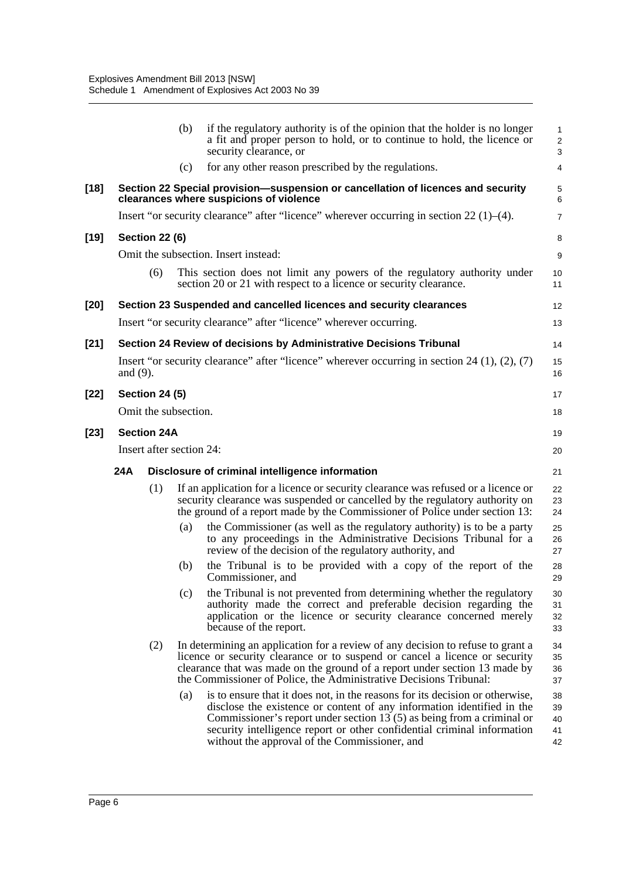|        |             |                          | (b) | if the regulatory authority is of the opinion that the holder is no longer<br>a fit and proper person to hold, or to continue to hold, the licence or<br>security clearance, or                                                                                                                                                                               | 1<br>$\overline{c}$<br>3   |
|--------|-------------|--------------------------|-----|---------------------------------------------------------------------------------------------------------------------------------------------------------------------------------------------------------------------------------------------------------------------------------------------------------------------------------------------------------------|----------------------------|
|        |             |                          | (c) | for any other reason prescribed by the regulations.                                                                                                                                                                                                                                                                                                           | $\overline{4}$             |
| $[18]$ |             |                          |     | Section 22 Special provision-suspension or cancellation of licences and security<br>clearances where suspicions of violence                                                                                                                                                                                                                                   | 5<br>6                     |
|        |             |                          |     | Insert "or security clearance" after "licence" wherever occurring in section $22(1)$ –(4).                                                                                                                                                                                                                                                                    | 7                          |
| [19]   |             | <b>Section 22 (6)</b>    |     |                                                                                                                                                                                                                                                                                                                                                               | 8                          |
|        |             |                          |     | Omit the subsection. Insert instead:                                                                                                                                                                                                                                                                                                                          | 9                          |
|        |             | (6)                      |     | This section does not limit any powers of the regulatory authority under<br>section 20 or 21 with respect to a licence or security clearance.                                                                                                                                                                                                                 | 10<br>11                   |
| [20]   |             |                          |     | Section 23 Suspended and cancelled licences and security clearances                                                                                                                                                                                                                                                                                           | 12                         |
|        |             |                          |     | Insert "or security clearance" after "licence" wherever occurring.                                                                                                                                                                                                                                                                                            | 13                         |
| $[21]$ |             |                          |     | Section 24 Review of decisions by Administrative Decisions Tribunal                                                                                                                                                                                                                                                                                           | 14                         |
|        | and $(9)$ . |                          |     | Insert "or security clearance" after "licence" wherever occurring in section 24 $(1)$ , $(2)$ , $(7)$                                                                                                                                                                                                                                                         | 15<br>16                   |
| $[22]$ |             | <b>Section 24 (5)</b>    |     |                                                                                                                                                                                                                                                                                                                                                               | 17                         |
|        |             | Omit the subsection.     |     |                                                                                                                                                                                                                                                                                                                                                               | 18                         |
| [23]   |             | <b>Section 24A</b>       |     |                                                                                                                                                                                                                                                                                                                                                               | 19                         |
|        |             | Insert after section 24: |     |                                                                                                                                                                                                                                                                                                                                                               | 20                         |
|        | 24A         |                          |     | Disclosure of criminal intelligence information                                                                                                                                                                                                                                                                                                               | 21                         |
|        |             | (1)                      |     | If an application for a licence or security clearance was refused or a licence or<br>security clearance was suspended or cancelled by the regulatory authority on<br>the ground of a report made by the Commissioner of Police under section 13:                                                                                                              | 22<br>23<br>24             |
|        |             |                          | (a) | the Commissioner (as well as the regulatory authority) is to be a party<br>to any proceedings in the Administrative Decisions Tribunal for a<br>review of the decision of the regulatory authority, and                                                                                                                                                       | 25<br>26<br>27             |
|        |             |                          | (b) | the Tribunal is to be provided with a copy of the report of the<br>Commissioner, and                                                                                                                                                                                                                                                                          | 28<br>29                   |
|        |             |                          | (c) | the Tribunal is not prevented from determining whether the regulatory<br>authority made the correct and preferable decision regarding the<br>application or the licence or security clearance concerned merely<br>because of the report.                                                                                                                      | 30<br>31<br>32<br>33       |
|        |             | (2)                      |     | In determining an application for a review of any decision to refuse to grant a<br>licence or security clearance or to suspend or cancel a licence or security<br>clearance that was made on the ground of a report under section 13 made by<br>the Commissioner of Police, the Administrative Decisions Tribunal:                                            | 34<br>35<br>36<br>37       |
|        |             |                          | (a) | is to ensure that it does not, in the reasons for its decision or otherwise,<br>disclose the existence or content of any information identified in the<br>Commissioner's report under section $13(5)$ as being from a criminal or<br>security intelligence report or other confidential criminal information<br>without the approval of the Commissioner, and | 38<br>39<br>40<br>41<br>42 |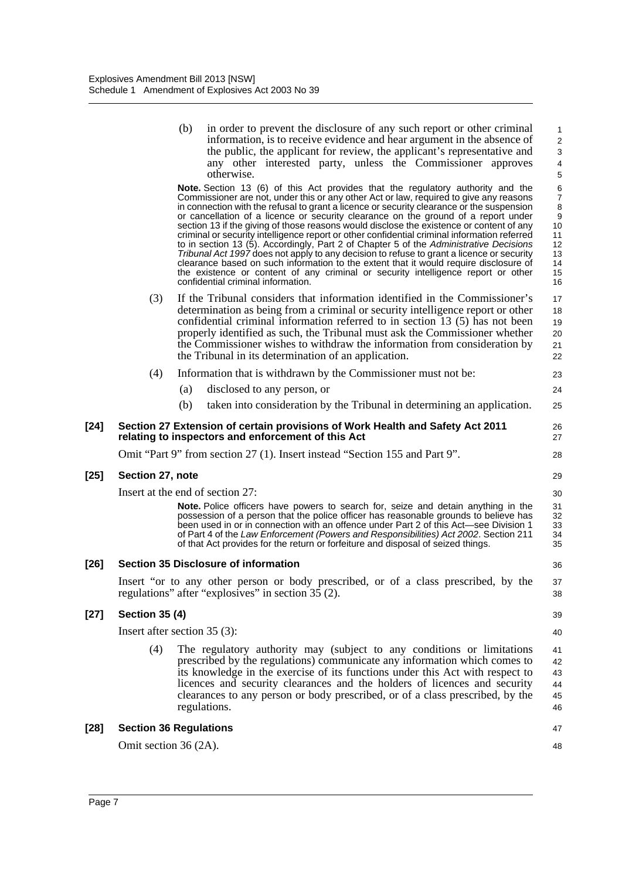|        |                       | (b)<br>in order to prevent the disclosure of any such report or other criminal<br>information, is to receive evidence and hear argument in the absence of<br>the public, the applicant for review, the applicant's representative and<br>any other interested party, unless the Commissioner approves<br>otherwise.<br>Note. Section 13 (6) of this Act provides that the regulatory authority and the<br>Commissioner are not, under this or any other Act or law, required to give any reasons<br>in connection with the refusal to grant a licence or security clearance or the suspension<br>or cancellation of a licence or security clearance on the ground of a report under<br>section 13 if the giving of those reasons would disclose the existence or content of any<br>criminal or security intelligence report or other confidential criminal information referred<br>to in section 13 (5). Accordingly, Part 2 of Chapter 5 of the Administrative Decisions<br>Tribunal Act 1997 does not apply to any decision to refuse to grant a licence or security<br>clearance based on such information to the extent that it would require disclosure of<br>the existence or content of any criminal or security intelligence report or other<br>confidential criminal information. | $\mathbf{1}$<br>$\overline{c}$<br>3<br>$\overline{4}$<br>5<br>6<br>$\boldsymbol{7}$<br>8<br>$\boldsymbol{9}$<br>10<br>11<br>12<br>13<br>14<br>15<br>16 |
|--------|-----------------------|--------------------------------------------------------------------------------------------------------------------------------------------------------------------------------------------------------------------------------------------------------------------------------------------------------------------------------------------------------------------------------------------------------------------------------------------------------------------------------------------------------------------------------------------------------------------------------------------------------------------------------------------------------------------------------------------------------------------------------------------------------------------------------------------------------------------------------------------------------------------------------------------------------------------------------------------------------------------------------------------------------------------------------------------------------------------------------------------------------------------------------------------------------------------------------------------------------------------------------------------------------------------------------------------|--------------------------------------------------------------------------------------------------------------------------------------------------------|
|        | (3)                   | If the Tribunal considers that information identified in the Commissioner's<br>determination as being from a criminal or security intelligence report or other<br>confidential criminal information referred to in section 13 (5) has not been<br>properly identified as such, the Tribunal must ask the Commissioner whether<br>the Commissioner wishes to withdraw the information from consideration by<br>the Tribunal in its determination of an application.                                                                                                                                                                                                                                                                                                                                                                                                                                                                                                                                                                                                                                                                                                                                                                                                                         | 17<br>18<br>19<br>20<br>21<br>22                                                                                                                       |
|        | (4)                   | Information that is withdrawn by the Commissioner must not be:                                                                                                                                                                                                                                                                                                                                                                                                                                                                                                                                                                                                                                                                                                                                                                                                                                                                                                                                                                                                                                                                                                                                                                                                                             | 23                                                                                                                                                     |
|        |                       | (a)<br>disclosed to any person, or                                                                                                                                                                                                                                                                                                                                                                                                                                                                                                                                                                                                                                                                                                                                                                                                                                                                                                                                                                                                                                                                                                                                                                                                                                                         | 24                                                                                                                                                     |
|        |                       | taken into consideration by the Tribunal in determining an application.<br>(b)                                                                                                                                                                                                                                                                                                                                                                                                                                                                                                                                                                                                                                                                                                                                                                                                                                                                                                                                                                                                                                                                                                                                                                                                             | 25                                                                                                                                                     |
| $[24]$ |                       | Section 27 Extension of certain provisions of Work Health and Safety Act 2011<br>relating to inspectors and enforcement of this Act                                                                                                                                                                                                                                                                                                                                                                                                                                                                                                                                                                                                                                                                                                                                                                                                                                                                                                                                                                                                                                                                                                                                                        | 26<br>27                                                                                                                                               |
|        |                       | Omit "Part 9" from section 27 (1). Insert instead "Section 155 and Part 9".                                                                                                                                                                                                                                                                                                                                                                                                                                                                                                                                                                                                                                                                                                                                                                                                                                                                                                                                                                                                                                                                                                                                                                                                                | 28                                                                                                                                                     |
| $[25]$ | Section 27, note      |                                                                                                                                                                                                                                                                                                                                                                                                                                                                                                                                                                                                                                                                                                                                                                                                                                                                                                                                                                                                                                                                                                                                                                                                                                                                                            | 29                                                                                                                                                     |
|        |                       | Insert at the end of section 27:                                                                                                                                                                                                                                                                                                                                                                                                                                                                                                                                                                                                                                                                                                                                                                                                                                                                                                                                                                                                                                                                                                                                                                                                                                                           | 30                                                                                                                                                     |
|        |                       | <b>Note.</b> Police officers have powers to search for, seize and detain anything in the<br>possession of a person that the police officer has reasonable grounds to believe has<br>been used in or in connection with an offence under Part 2 of this Act—see Division 1<br>of Part 4 of the Law Enforcement (Powers and Responsibilities) Act 2002. Section 211<br>of that Act provides for the return or forfeiture and disposal of seized things.                                                                                                                                                                                                                                                                                                                                                                                                                                                                                                                                                                                                                                                                                                                                                                                                                                      | 31<br>32<br>33<br>34<br>35                                                                                                                             |
| $[26]$ |                       | <b>Section 35 Disclosure of information</b>                                                                                                                                                                                                                                                                                                                                                                                                                                                                                                                                                                                                                                                                                                                                                                                                                                                                                                                                                                                                                                                                                                                                                                                                                                                | 36                                                                                                                                                     |
|        |                       | Insert "or to any other person or body prescribed, or of a class prescribed, by the<br>regulations" after "explosives" in section $35(2)$ .                                                                                                                                                                                                                                                                                                                                                                                                                                                                                                                                                                                                                                                                                                                                                                                                                                                                                                                                                                                                                                                                                                                                                | 37<br>38                                                                                                                                               |
| $[27]$ | <b>Section 35 (4)</b> |                                                                                                                                                                                                                                                                                                                                                                                                                                                                                                                                                                                                                                                                                                                                                                                                                                                                                                                                                                                                                                                                                                                                                                                                                                                                                            | 39                                                                                                                                                     |
|        |                       | Insert after section 35 (3):                                                                                                                                                                                                                                                                                                                                                                                                                                                                                                                                                                                                                                                                                                                                                                                                                                                                                                                                                                                                                                                                                                                                                                                                                                                               | 40                                                                                                                                                     |
|        | (4)                   | The regulatory authority may (subject to any conditions or limitations<br>prescribed by the regulations) communicate any information which comes to<br>its knowledge in the exercise of its functions under this Act with respect to<br>licences and security clearances and the holders of licences and security<br>clearances to any person or body prescribed, or of a class prescribed, by the<br>regulations.                                                                                                                                                                                                                                                                                                                                                                                                                                                                                                                                                                                                                                                                                                                                                                                                                                                                         | 41<br>42<br>43<br>44<br>45<br>46                                                                                                                       |
| $[28]$ |                       | <b>Section 36 Regulations</b>                                                                                                                                                                                                                                                                                                                                                                                                                                                                                                                                                                                                                                                                                                                                                                                                                                                                                                                                                                                                                                                                                                                                                                                                                                                              | 47                                                                                                                                                     |
|        | Omit section 36 (2A). |                                                                                                                                                                                                                                                                                                                                                                                                                                                                                                                                                                                                                                                                                                                                                                                                                                                                                                                                                                                                                                                                                                                                                                                                                                                                                            | 48                                                                                                                                                     |
|        |                       |                                                                                                                                                                                                                                                                                                                                                                                                                                                                                                                                                                                                                                                                                                                                                                                                                                                                                                                                                                                                                                                                                                                                                                                                                                                                                            |                                                                                                                                                        |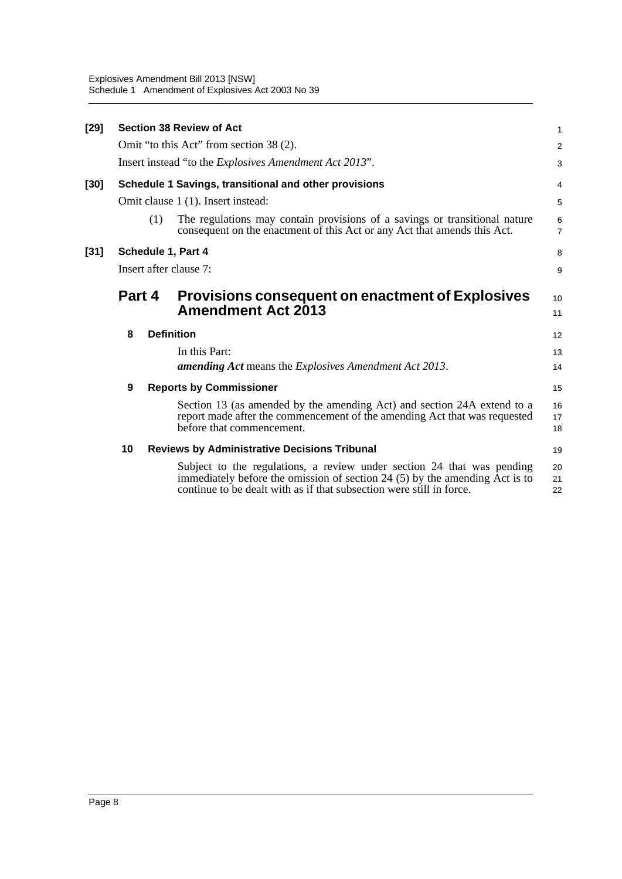| $[29]$ |        |     | <b>Section 38 Review of Act</b>                                                                                                                                                                                               | 1                   |
|--------|--------|-----|-------------------------------------------------------------------------------------------------------------------------------------------------------------------------------------------------------------------------------|---------------------|
|        |        |     | Omit "to this Act" from section 38 (2).                                                                                                                                                                                       | $\overline{2}$      |
|        |        |     | Insert instead "to the <i>Explosives Amendment Act 2013"</i> .                                                                                                                                                                | 3                   |
| [30]   |        |     | Schedule 1 Savings, transitional and other provisions                                                                                                                                                                         | 4                   |
|        |        |     | Omit clause 1 (1). Insert instead:                                                                                                                                                                                            | 5                   |
|        |        | (1) | The regulations may contain provisions of a savings or transitional nature<br>consequent on the enactment of this Act or any Act that amends this Act.                                                                        | 6<br>$\overline{7}$ |
| $[31]$ |        |     | Schedule 1, Part 4                                                                                                                                                                                                            | 8                   |
|        |        |     | Insert after clause 7:                                                                                                                                                                                                        | 9                   |
|        | Part 4 |     | <b>Provisions consequent on enactment of Explosives</b><br><b>Amendment Act 2013</b>                                                                                                                                          | 10<br>11            |
|        | 8      |     | <b>Definition</b>                                                                                                                                                                                                             | 12                  |
|        |        |     | In this Part:                                                                                                                                                                                                                 | 13                  |
|        |        |     | <b>amending Act</b> means the <i>Explosives Amendment Act 2013</i> .                                                                                                                                                          | 14                  |
|        | 9      |     | <b>Reports by Commissioner</b>                                                                                                                                                                                                | 15                  |
|        |        |     | Section 13 (as amended by the amending Act) and section 24A extend to a<br>report made after the commencement of the amending Act that was requested<br>before that commencement.                                             | 16<br>17<br>18      |
|        | 10     |     | <b>Reviews by Administrative Decisions Tribunal</b>                                                                                                                                                                           | 19                  |
|        |        |     | Subject to the regulations, a review under section 24 that was pending<br>immediately before the omission of section 24 (5) by the amending Act is to<br>continue to be dealt with as if that subsection were still in force. | 20<br>21<br>22      |
|        |        |     |                                                                                                                                                                                                                               |                     |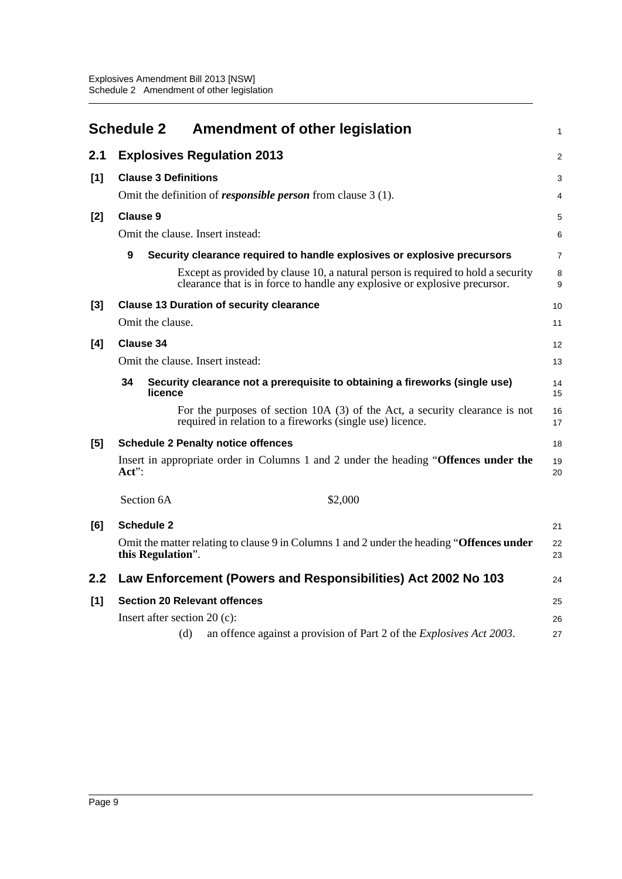<span id="page-11-0"></span>

|     | <b>Schedule 2</b><br><b>Amendment of other legislation</b>                                                                                                     | $\mathbf{1}$   |
|-----|----------------------------------------------------------------------------------------------------------------------------------------------------------------|----------------|
| 2.1 | <b>Explosives Regulation 2013</b>                                                                                                                              | 2              |
| [1] | <b>Clause 3 Definitions</b>                                                                                                                                    | 3              |
|     | Omit the definition of <i>responsible person</i> from clause $3(1)$ .                                                                                          | $\overline{4}$ |
| [2] | <b>Clause 9</b>                                                                                                                                                | 5              |
|     | Omit the clause. Insert instead:                                                                                                                               | 6              |
|     | 9<br>Security clearance required to handle explosives or explosive precursors                                                                                  | $\overline{7}$ |
|     | Except as provided by clause 10, a natural person is required to hold a security<br>clearance that is in force to handle any explosive or explosive precursor. | 8<br>9         |
| [3] | <b>Clause 13 Duration of security clearance</b>                                                                                                                | 10             |
|     | Omit the clause.                                                                                                                                               | 11             |
| [4] | Clause 34                                                                                                                                                      | 12             |
|     | Omit the clause. Insert instead:                                                                                                                               | 13             |
|     | 34<br>Security clearance not a prerequisite to obtaining a fireworks (single use)<br>licence                                                                   | 14<br>15       |
|     | For the purposes of section 10A (3) of the Act, a security clearance is not<br>required in relation to a fireworks (single use) licence.                       | 16<br>17       |
| [5] | <b>Schedule 2 Penalty notice offences</b>                                                                                                                      | 18             |
|     | Insert in appropriate order in Columns 1 and 2 under the heading "Offences under the<br>$Act$ :                                                                | 19<br>20       |
|     | Section 6A<br>\$2,000                                                                                                                                          |                |
| [6] | <b>Schedule 2</b>                                                                                                                                              | 21             |
|     | Omit the matter relating to clause 9 in Columns 1 and 2 under the heading "Offences under<br>this Regulation".                                                 | 22<br>23       |
| 2.2 | Law Enforcement (Powers and Responsibilities) Act 2002 No 103                                                                                                  | 24             |
| [1] | <b>Section 20 Relevant offences</b>                                                                                                                            | 25             |
|     | Insert after section $20(c)$ :                                                                                                                                 | 26             |
|     | (d)<br>an offence against a provision of Part 2 of the <i>Explosives Act</i> 2003.                                                                             | 27             |